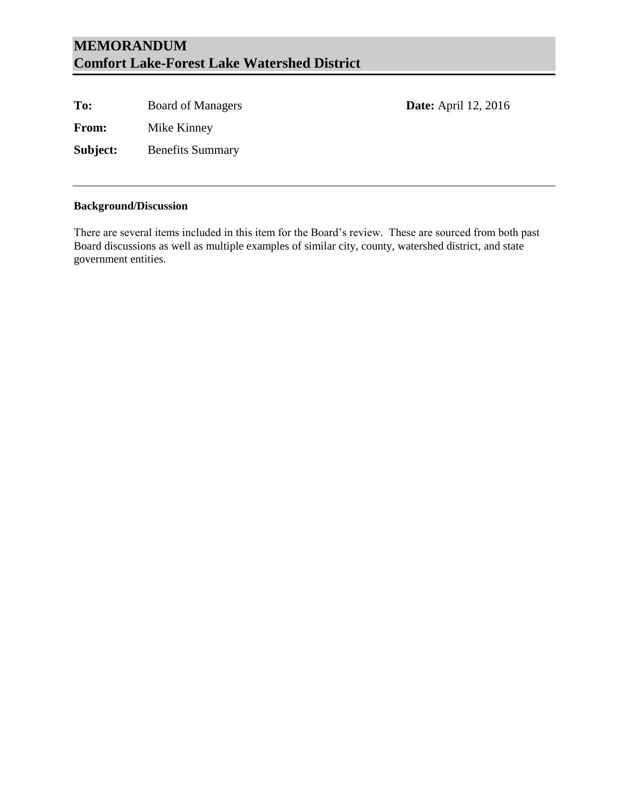## **MEMORANDUM Comfort Lake-Forest Lake Watershed District**

To: Board of Managers **Date:** April 12, 2016

**From:** Mike Kinney

**Subject:** Benefits Summary

#### **Background/Discussion**

There are several items included in this item for the Board's review. These are sourced from both past Board discussions as well as multiple examples of similar city, county, watershed district, and state government entities.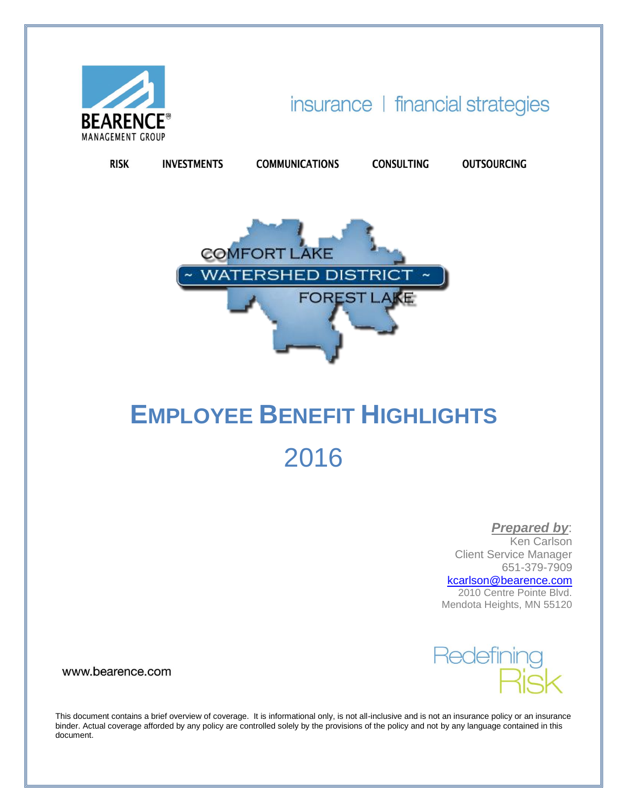

**RISK** 

**INVESTMENTS** 

insurance | financial strategies

**OUTSOURCING** 

**CONSULTING** 

**COMFORT LAKE WATERSHED DISTRICT FOREST LAKE** 

**COMMUNICATIONS** 

# **EMPLOYEE BENEFIT HIGHLIGHTS** 2016

*Prepared by*:

Ken Carlson Client Service Manager 651-379-7909

[kcarlson@bearence.com](mailto:kcarlson@bearence.com)

2010 Centre Pointe Blvd. Mendota Heights, MN 55120



www.bearence.com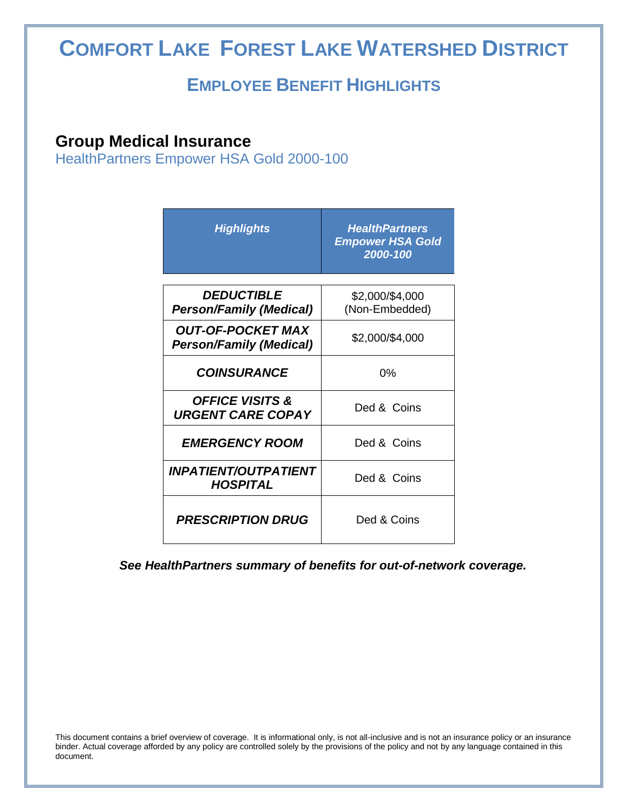## **COMFORT LAKE FOREST LAKE WATERSHED DISTRICT**

## **EMPLOYEE BENEFIT HIGHLIGHTS**

## **Group Medical Insurance**

Ī

HealthPartners Empower HSA Gold 2000-100

| <b>Highlights</b>                                          | <b>HealthPartners</b><br><b>Empower HSA Gold</b><br>2000-100 |
|------------------------------------------------------------|--------------------------------------------------------------|
|                                                            |                                                              |
| <b>DEDUCTIBLE</b>                                          | \$2,000/\$4,000                                              |
| <b>Person/Family (Medical)</b>                             | (Non-Embedded)                                               |
| <b>OUT-OF-POCKET MAX</b><br><b>Person/Family (Medical)</b> | \$2,000/\$4,000                                              |
| <b>COINSURANCE</b>                                         | 0%                                                           |
| <b>OFFICE VISITS &amp;</b><br><b>URGENT CARE COPAY</b>     | Ded & Coins                                                  |
| <b>EMERGENCY ROOM</b>                                      | Ded & Coins                                                  |
| <b>INPATIENT/OUTPATIENT</b><br><b>HOSPITAL</b>             | Ded & Coins                                                  |
| <b>PRESCRIPTION DRUG</b>                                   | Ded & Coins                                                  |

*See HealthPartners summary of benefits for out-of-network coverage.*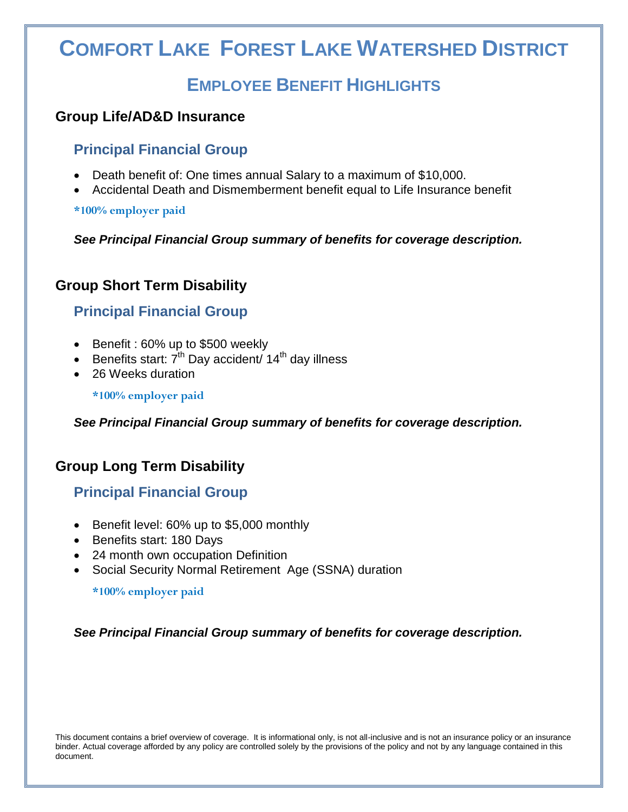## **COMFORT LAKE FOREST LAKE WATERSHED DISTRICT**

## **EMPLOYEE BENEFIT HIGHLIGHTS**

## **Group Life/AD&D Insurance**

## **Principal Financial Group**

- Death benefit of: One times annual Salary to a maximum of \$10,000.
- Accidental Death and Dismemberment benefit equal to Life Insurance benefit

**\*100% employer paid**

Ī

*See Principal Financial Group summary of benefits for coverage description.*

## **Group Short Term Disability**

## **Principal Financial Group**

- Benefit : 60% up to \$500 weekly
- Benefits start:  $7<sup>th</sup>$  Day accident/ 14<sup>th</sup> day illness
- 26 Weeks duration

**\*100% employer paid**

*See Principal Financial Group summary of benefits for coverage description.*

## **Group Long Term Disability**

## **Principal Financial Group**

- Benefit level: 60% up to \$5,000 monthly
- Benefits start: 180 Days
- 24 month own occupation Definition
- Social Security Normal Retirement Age (SSNA) duration

**\*100% employer paid**

*See Principal Financial Group summary of benefits for coverage description.*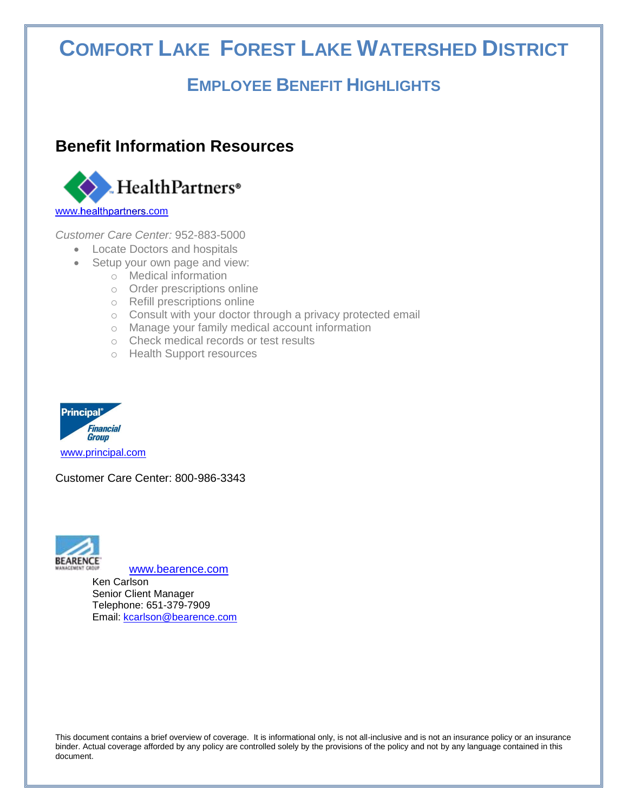## **COMFORT LAKE FOREST LAKE WATERSHED DISTRICT**

## **EMPLOYEE BENEFIT HIGHLIGHTS**

## **Benefit Information Resources**



*Customer Care Center:* 952-883-5000

- Locate Doctors and hospitals
- Setup your own page and view:
	- o Medical information
	- o Order prescriptions online
	- o Refill prescriptions online
	- o Consult with your doctor through a privacy protected email
	- o Manage your family medical account information
	- o Check medical records or test results
	- o Health Support resources



Ī

Customer Care Center: 800-986-3343



[www.bearence.com](http://www.bearence.com/)

Ken Carlson Senior Client Manager Telephone: 651-379-7909 Email: [kcarlson@bearence.com](mailto:kcarlson@bearence.com)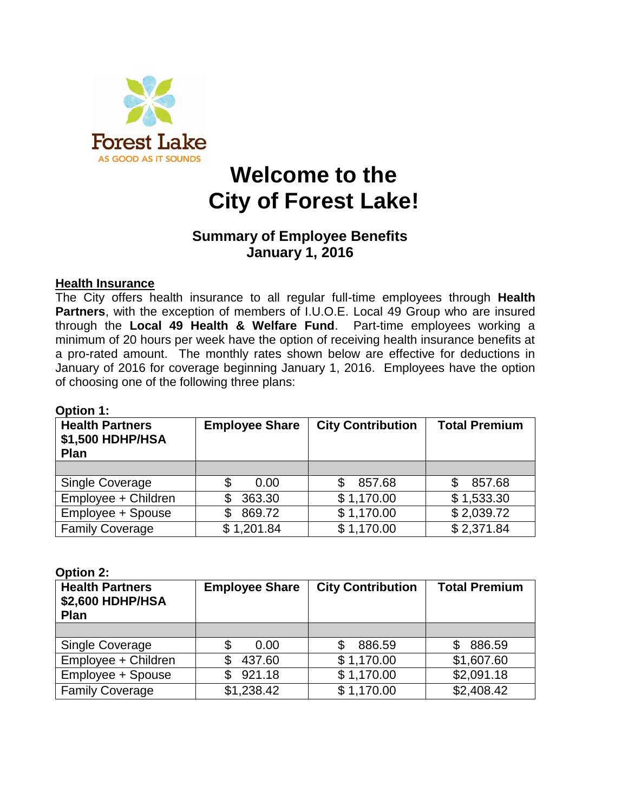

## **Welcome to the City of Forest Lake!**

## **Summary of Employee Benefits January 1, 2016**

## **Health Insurance**

The City offers health insurance to all regular full-time employees through **Health Partners**, with the exception of members of I.U.O.E. Local 49 Group who are insured through the **Local 49 Health & Welfare Fund**. Part-time employees working a minimum of 20 hours per week have the option of receiving health insurance benefits at a pro-rated amount. The monthly rates shown below are effective for deductions in January of 2016 for coverage beginning January 1, 2016. Employees have the option of choosing one of the following three plans:

| <b>Health Partners</b><br>\$1,500 HDHP/HSA<br><b>Plan</b> | <b>Employee Share</b> | <b>City Contribution</b> | <b>Total Premium</b> |
|-----------------------------------------------------------|-----------------------|--------------------------|----------------------|
|                                                           |                       |                          |                      |
| Single Coverage                                           | 0.00<br>\$            | 857.68                   | 857.68               |
| Employee + Children                                       | 363.30<br>S           | \$1,170.00               | \$1,533.30           |
| Employee + Spouse                                         | 869.72<br>\$          | \$1,170.00               | \$2,039.72           |
| <b>Family Coverage</b>                                    | \$1,201.84            | \$1,170.00               | \$2,371.84           |

## **Option 1:**

#### **Option 2:**

| <b>Health Partners</b><br>\$2,600 HDHP/HSA<br>Plan | <b>Employee Share</b> | <b>City Contribution</b> | <b>Total Premium</b> |
|----------------------------------------------------|-----------------------|--------------------------|----------------------|
|                                                    |                       |                          |                      |
| Single Coverage                                    | \$<br>0.00            | 886.59                   | 886.59<br>S          |
| Employee + Children                                | 437.60                | \$1,170.00               | \$1,607.60           |
| Employee + Spouse                                  | 921.18                | \$1,170.00               | \$2,091.18           |
| <b>Family Coverage</b>                             | \$1,238.42            | \$1,170.00               | \$2,408.42           |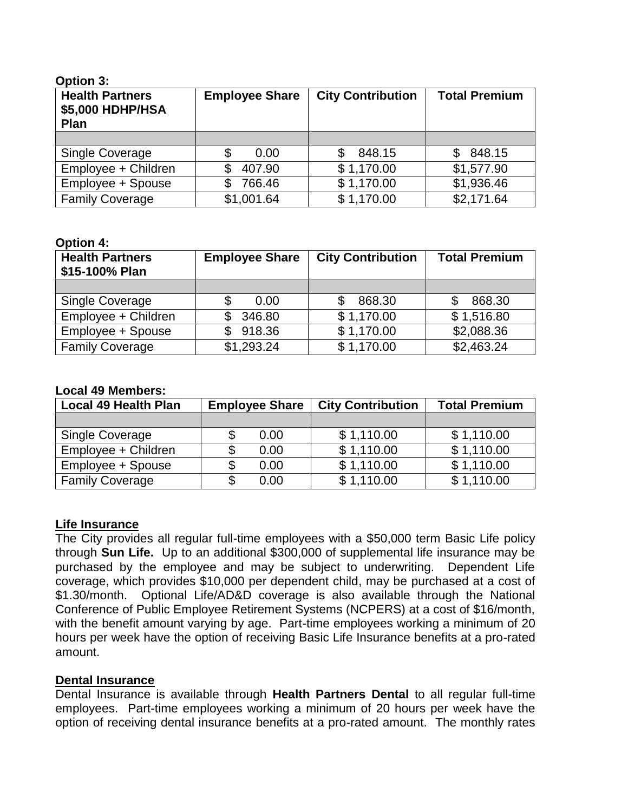| Option 3:                                          |                       |                          |                      |
|----------------------------------------------------|-----------------------|--------------------------|----------------------|
| <b>Health Partners</b><br>\$5,000 HDHP/HSA<br>Plan | <b>Employee Share</b> | <b>City Contribution</b> | <b>Total Premium</b> |
|                                                    |                       |                          |                      |
| <b>Single Coverage</b>                             | \$<br>0.00            | 848.15<br>\$             | 848.15<br>S          |
| Employee + Children                                | 407.90                | \$1,170.00               | \$1,577.90           |
| Employee + Spouse                                  | 766.46<br>S           | \$1,170.00               | \$1,936.46           |
| <b>Family Coverage</b>                             | \$1,001.64            | \$1,170.00               | \$2,171.64           |

#### **Option 4:**

**Option 3:**

| <b>Health Partners</b><br>\$15-100% Plan | <b>Employee Share</b> | <b>City Contribution</b> | <b>Total Premium</b>   |
|------------------------------------------|-----------------------|--------------------------|------------------------|
|                                          |                       |                          |                        |
| <b>Single Coverage</b>                   | 0.00                  | 868.30                   | 868.30                 |
| Employee + Children                      | 346.80                | \$1,170.00               | \$1,516.80             |
| Employee + Spouse                        | 918.36<br>SS.         | \$1,170.00               | \$2,088.36             |
| <b>Family Coverage</b>                   | \$1,293.24            | \$1,170.00               | $$2,463.\overline{24}$ |

#### **Local 49 Members:**

| <b>Local 49 Health Plan</b> | <b>Employee Share</b> |      | <b>City Contribution</b> | <b>Total Premium</b> |
|-----------------------------|-----------------------|------|--------------------------|----------------------|
|                             |                       |      |                          |                      |
| <b>Single Coverage</b>      |                       | 0.00 | \$1,110.00               | \$1,110.00           |
| Employee + Children         |                       | 0.00 | \$1,110.00               | \$1,110.00           |
| Employee + Spouse           |                       | 0.00 | \$1,110.00               | \$1,110.00           |
| <b>Family Coverage</b>      |                       | 0.00 | \$1,110.00               | \$1,110.00           |

#### **Life Insurance**

The City provides all regular full-time employees with a \$50,000 term Basic Life policy through **Sun Life.** Up to an additional \$300,000 of supplemental life insurance may be purchased by the employee and may be subject to underwriting. Dependent Life coverage, which provides \$10,000 per dependent child, may be purchased at a cost of \$1.30/month. Optional Life/AD&D coverage is also available through the National Conference of Public Employee Retirement Systems (NCPERS) at a cost of \$16/month, with the benefit amount varying by age. Part-time employees working a minimum of 20 hours per week have the option of receiving Basic Life Insurance benefits at a pro-rated amount.

### **Dental Insurance**

Dental Insurance is available through **Health Partners Dental** to all regular full-time employees. Part-time employees working a minimum of 20 hours per week have the option of receiving dental insurance benefits at a pro-rated amount. The monthly rates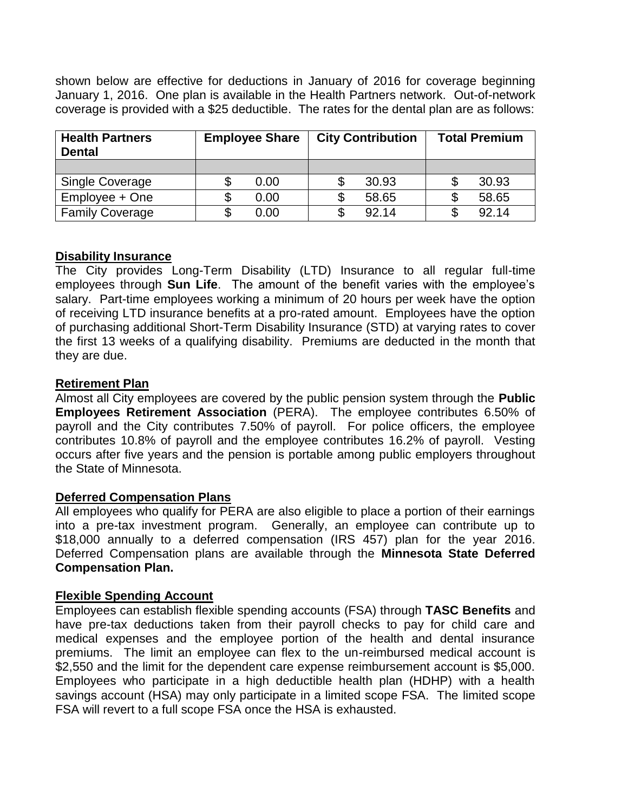shown below are effective for deductions in January of 2016 for coverage beginning January 1, 2016. One plan is available in the Health Partners network. Out-of-network coverage is provided with a \$25 deductible. The rates for the dental plan are as follows:

| <b>Health Partners</b><br><b>Dental</b> | <b>Employee Share</b> | <b>City Contribution</b> | <b>Total Premium</b> |
|-----------------------------------------|-----------------------|--------------------------|----------------------|
|                                         |                       |                          |                      |
| <b>Single Coverage</b>                  | 0.00                  | 30.93                    | 30.93                |
| Employee + One                          | 0.00                  | 58.65                    | 58.65                |
| <b>Family Coverage</b>                  | 0.00                  | 92.14<br>S               | 92.14                |

## **Disability Insurance**

The City provides Long-Term Disability (LTD) Insurance to all regular full-time employees through **Sun Life**. The amount of the benefit varies with the employee's salary. Part-time employees working a minimum of 20 hours per week have the option of receiving LTD insurance benefits at a pro-rated amount. Employees have the option of purchasing additional Short-Term Disability Insurance (STD) at varying rates to cover the first 13 weeks of a qualifying disability. Premiums are deducted in the month that they are due.

## **Retirement Plan**

Almost all City employees are covered by the public pension system through the **Public Employees Retirement Association** (PERA). The employee contributes 6.50% of payroll and the City contributes 7.50% of payroll. For police officers, the employee contributes 10.8% of payroll and the employee contributes 16.2% of payroll. Vesting occurs after five years and the pension is portable among public employers throughout the State of Minnesota.

### **Deferred Compensation Plans**

All employees who qualify for PERA are also eligible to place a portion of their earnings into a pre-tax investment program. Generally, an employee can contribute up to \$18,000 annually to a deferred compensation (IRS 457) plan for the year 2016. Deferred Compensation plans are available through the **Minnesota State Deferred Compensation Plan.**

## **Flexible Spending Account**

Employees can establish flexible spending accounts (FSA) through **TASC Benefits** and have pre-tax deductions taken from their payroll checks to pay for child care and medical expenses and the employee portion of the health and dental insurance premiums. The limit an employee can flex to the un-reimbursed medical account is \$2,550 and the limit for the dependent care expense reimbursement account is \$5,000. Employees who participate in a high deductible health plan (HDHP) with a health savings account (HSA) may only participate in a limited scope FSA. The limited scope FSA will revert to a full scope FSA once the HSA is exhausted.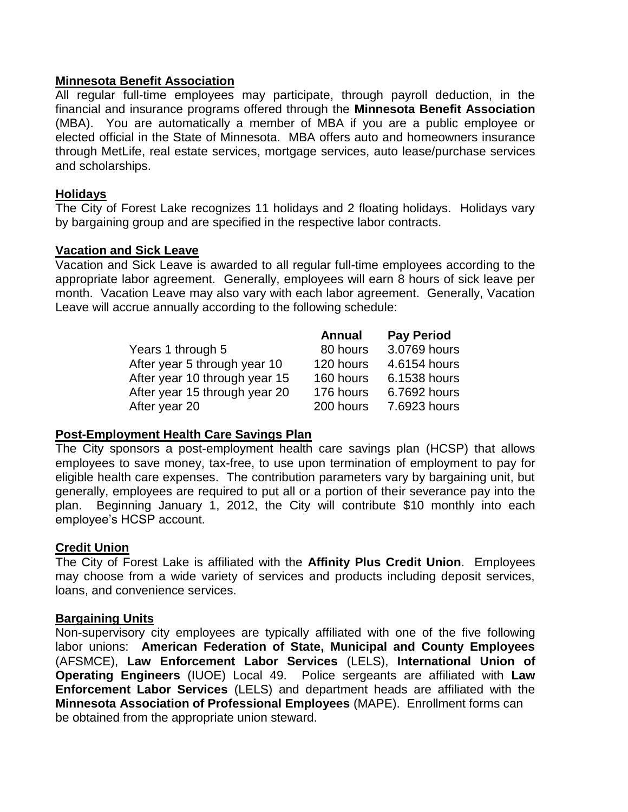### **Minnesota Benefit Association**

All regular full-time employees may participate, through payroll deduction, in the financial and insurance programs offered through the **Minnesota Benefit Association** (MBA). You are automatically a member of MBA if you are a public employee or elected official in the State of Minnesota. MBA offers auto and homeowners insurance through MetLife, real estate services, mortgage services, auto lease/purchase services and scholarships.

## **Holidays**

The City of Forest Lake recognizes 11 holidays and 2 floating holidays. Holidays vary by bargaining group and are specified in the respective labor contracts.

### **Vacation and Sick Leave**

Vacation and Sick Leave is awarded to all regular full-time employees according to the appropriate labor agreement. Generally, employees will earn 8 hours of sick leave per month. Vacation Leave may also vary with each labor agreement. Generally, Vacation Leave will accrue annually according to the following schedule:

|                               | <b>Annual</b> | <b>Pay Period</b> |
|-------------------------------|---------------|-------------------|
| Years 1 through 5             | 80 hours      | 3.0769 hours      |
| After year 5 through year 10  | 120 hours     | 4.6154 hours      |
| After year 10 through year 15 | 160 hours     | 6.1538 hours      |
| After year 15 through year 20 | 176 hours     | 6.7692 hours      |
| After year 20                 | 200 hours     | 7.6923 hours      |

## **Post-Employment Health Care Savings Plan**

The City sponsors a post-employment health care savings plan (HCSP) that allows employees to save money, tax-free, to use upon termination of employment to pay for eligible health care expenses. The contribution parameters vary by bargaining unit, but generally, employees are required to put all or a portion of their severance pay into the plan. Beginning January 1, 2012, the City will contribute \$10 monthly into each employee's HCSP account.

### **Credit Union**

The City of Forest Lake is affiliated with the **Affinity Plus Credit Union**. Employees may choose from a wide variety of services and products including deposit services, loans, and convenience services.

### **Bargaining Units**

Non-supervisory city employees are typically affiliated with one of the five following labor unions: **American Federation of State, Municipal and County Employees** (AFSMCE), **Law Enforcement Labor Services** (LELS), **International Union of Operating Engineers** (IUOE) Local 49. Police sergeants are affiliated with **Law Enforcement Labor Services** (LELS) and department heads are affiliated with the **Minnesota Association of Professional Employees** (MAPE). Enrollment forms can be obtained from the appropriate union steward.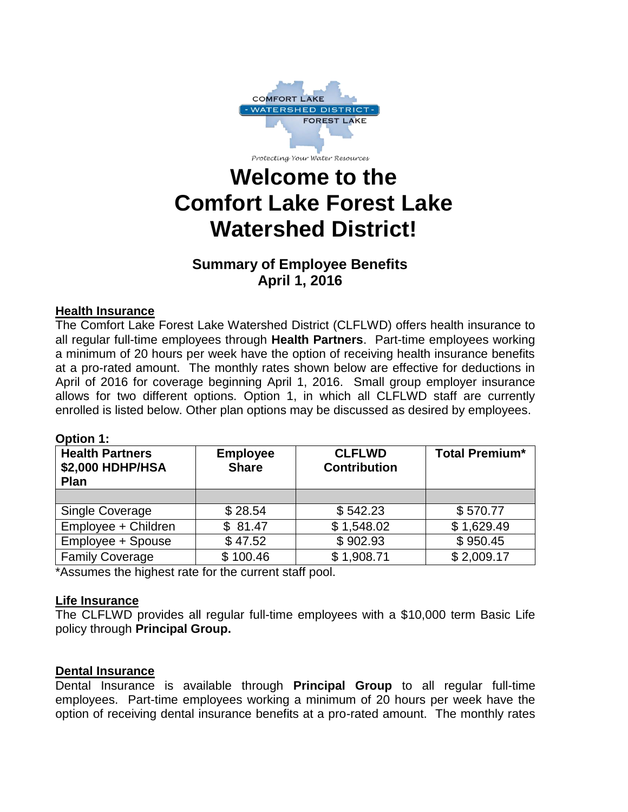

Protecting Your Water Resources

## **Welcome to the Comfort Lake Forest Lake Watershed District!**

## **Summary of Employee Benefits April 1, 2016**

## **Health Insurance**

The Comfort Lake Forest Lake Watershed District (CLFLWD) offers health insurance to all regular full-time employees through **Health Partners**. Part-time employees working a minimum of 20 hours per week have the option of receiving health insurance benefits at a pro-rated amount. The monthly rates shown below are effective for deductions in April of 2016 for coverage beginning April 1, 2016. Small group employer insurance allows for two different options. Option 1, in which all CLFLWD staff are currently enrolled is listed below. Other plan options may be discussed as desired by employees.

## **Option 1:**

| <b>Health Partners</b><br><b>\$2,000 HDHP/HSA</b><br><b>Plan</b> | <b>Employee</b><br><b>Share</b> | <b>CLFLWD</b><br><b>Contribution</b> | <b>Total Premium*</b> |
|------------------------------------------------------------------|---------------------------------|--------------------------------------|-----------------------|
|                                                                  |                                 |                                      |                       |
| Single Coverage                                                  | \$28.54                         | \$542.23                             | \$570.77              |
| Employee + Children                                              | \$81.47                         | \$1,548.02                           | \$1,629.49            |
| Employee + Spouse                                                | \$47.52                         | \$902.93                             | \$950.45              |
| <b>Family Coverage</b>                                           | \$100.46                        | \$1,908.71                           | \$2,009.17            |

\*Assumes the highest rate for the current staff pool.

## **Life Insurance**

The CLFLWD provides all regular full-time employees with a \$10,000 term Basic Life policy through **Principal Group.**

## **Dental Insurance**

Dental Insurance is available through **Principal Group** to all regular full-time employees. Part-time employees working a minimum of 20 hours per week have the option of receiving dental insurance benefits at a pro-rated amount. The monthly rates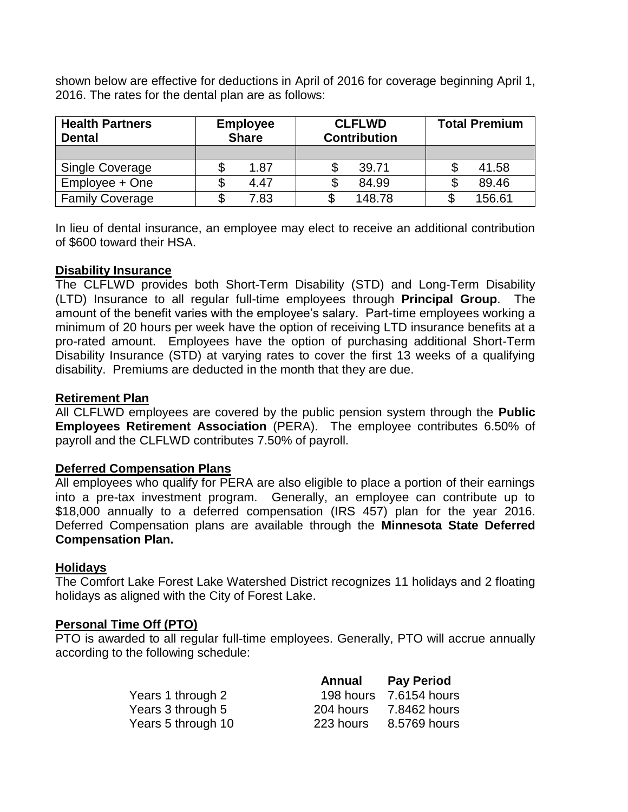shown below are effective for deductions in April of 2016 for coverage beginning April 1, 2016. The rates for the dental plan are as follows:

| <b>Health Partners</b><br><b>Dental</b> | <b>Employee</b><br><b>Share</b> | <b>CLFLWD</b><br><b>Contribution</b> | <b>Total Premium</b> |
|-----------------------------------------|---------------------------------|--------------------------------------|----------------------|
|                                         |                                 |                                      |                      |
| <b>Single Coverage</b>                  | 1.87                            | 39.71                                | 41.58                |
| Employee + One                          | 4.47                            | 84.99                                | 89.46                |
| <b>Family Coverage</b>                  | 7.83                            | 148.78                               | 156.61               |

In lieu of dental insurance, an employee may elect to receive an additional contribution of \$600 toward their HSA.

#### **Disability Insurance**

The CLFLWD provides both Short-Term Disability (STD) and Long-Term Disability (LTD) Insurance to all regular full-time employees through **Principal Group**. The amount of the benefit varies with the employee's salary. Part-time employees working a minimum of 20 hours per week have the option of receiving LTD insurance benefits at a pro-rated amount. Employees have the option of purchasing additional Short-Term Disability Insurance (STD) at varying rates to cover the first 13 weeks of a qualifying disability. Premiums are deducted in the month that they are due.

#### **Retirement Plan**

All CLFLWD employees are covered by the public pension system through the **Public Employees Retirement Association** (PERA). The employee contributes 6.50% of payroll and the CLFLWD contributes 7.50% of payroll.

### **Deferred Compensation Plans**

All employees who qualify for PERA are also eligible to place a portion of their earnings into a pre-tax investment program. Generally, an employee can contribute up to \$18,000 annually to a deferred compensation (IRS 457) plan for the year 2016. Deferred Compensation plans are available through the **Minnesota State Deferred Compensation Plan.**

#### **Holidays**

The Comfort Lake Forest Lake Watershed District recognizes 11 holidays and 2 floating holidays as aligned with the City of Forest Lake.

#### **Personal Time Off (PTO)**

PTO is awarded to all regular full-time employees. Generally, PTO will accrue annually according to the following schedule:

|                    | Annual    | <b>Pay Period</b>      |
|--------------------|-----------|------------------------|
| Years 1 through 2  |           | 198 hours 7.6154 hours |
| Years 3 through 5  | 204 hours | 7.8462 hours           |
| Years 5 through 10 | 223 hours | 8.5769 hours           |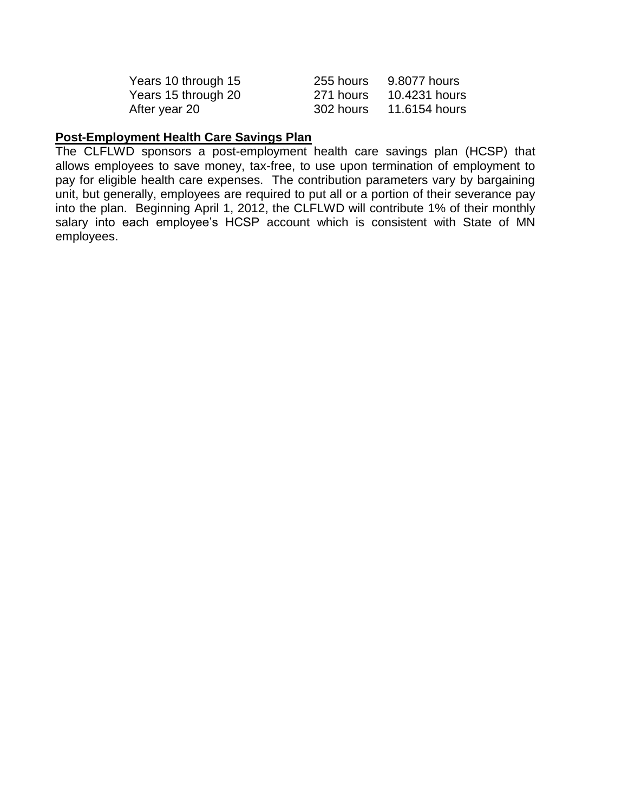| Years 10 through 15 | 255 hours | 9.8077 hours  |
|---------------------|-----------|---------------|
| Years 15 through 20 | 271 hours | 10.4231 hours |
| After year 20       | 302 hours | 11.6154 hours |

## **Post-Employment Health Care Savings Plan**

The CLFLWD sponsors a post-employment health care savings plan (HCSP) that allows employees to save money, tax-free, to use upon termination of employment to pay for eligible health care expenses. The contribution parameters vary by bargaining unit, but generally, employees are required to put all or a portion of their severance pay into the plan. Beginning April 1, 2012, the CLFLWD will contribute 1% of their monthly salary into each employee's HCSP account which is consistent with State of MN employees.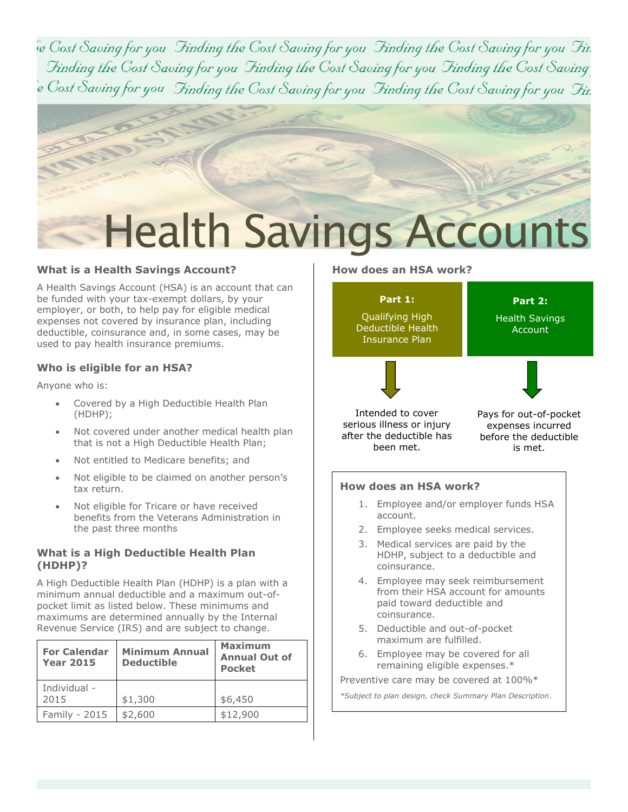ie Cost Saving for you Finding the Cost Saving for you Finding the Cost Saving for you Fir. Finding the Cost Saving for you Finding the Cost Saving for you Finding the Cost Saving e Cost Saving for you Finding the Cost Saving for you Finding the Cost Saving for you Fir.



#### **What is a Health Savings Account?**

A Health Savings Account (HSA) is an account that can be funded with your tax-exempt dollars, by your employer, or both, to help pay for eligible medical expenses not covered by insurance plan, including deductible, coinsurance and, in some cases, may be used to pay health insurance premiums.

#### **Who is eligible for an HSA?**

Anyone who is:

- Covered by a High Deductible Health Plan (HDHP);
- Not covered under another medical health plan that is not a High Deductible Health Plan;
- Not entitled to Medicare benefits; and
- Not eligible to be claimed on another person's tax return.
- Not eligible for Tricare or have received benefits from the Veterans Administration in the past three months

#### **What is a High Deductible Health Plan (HDHP)?**

A High Deductible Health Plan (HDHP) is a plan with a minimum annual deductible and a maximum out-ofpocket limit as listed below. These minimums and maximums are determined annually by the Internal Revenue Service (IRS) and are subject to change.

| <b>For Calendar</b><br><b>Year 2015</b> | <b>Minimum Annual</b><br><b>Deductible</b> | <b>Maximum</b><br><b>Annual Out of</b><br><b>Pocket</b> |
|-----------------------------------------|--------------------------------------------|---------------------------------------------------------|
| Individual -<br>2015                    | \$1,300                                    | \$6,450                                                 |
| Family - 2015                           | \$2,600                                    | \$12,900                                                |

#### **How does an HSA work?**



- 1. Employee and/or employer funds HSA account.
- 2. Employee seeks medical services.
- 3. Medical services are paid by the HDHP, subject to a deductible and coinsurance.
- 4. Employee may seek reimbursement from their HSA account for amounts paid toward deductible and coinsurance.
- 5. Deductible and out-of-pocket maximum are fulfilled.
- 6. Employee may be covered for all remaining eligible expenses.\*

Preventive care may be covered at 100%\*

*\*Subject to plan design, check Summary Plan Description*.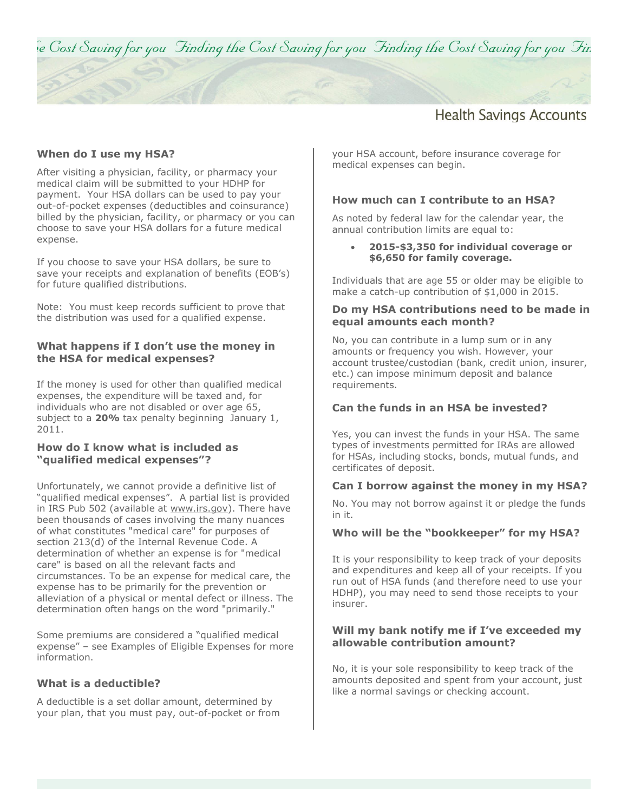ie Cost Saving for you Finding the Cost Saving for you Finding the Cost Saving for you Fir.

## **Health Savings Accounts**

#### **When do I use my HSA?**

After visiting a physician, facility, or pharmacy your medical claim will be submitted to your HDHP for payment. Your HSA dollars can be used to pay your out-of-pocket expenses (deductibles and coinsurance) billed by the physician, facility, or pharmacy or you can choose to save your HSA dollars for a future medical expense.

If you choose to save your HSA dollars, be sure to save your receipts and explanation of benefits (EOB's) for future qualified distributions.

Note: You must keep records sufficient to prove that the distribution was used for a qualified expense.

#### **What happens if I don't use the money in the HSA for medical expenses?**

If the money is used for other than qualified medical expenses, the expenditure will be taxed and, for individuals who are not disabled or over age 65, subject to a **20%** tax penalty beginning January 1, 2011.

#### **How do I know what is included as "qualified medical expenses"?**

Unfortunately, we cannot provide a definitive list of "qualified medical expenses". A partial list is provided in IRS Pub 502 (available at [www.irs.gov\)](http://www.treas.gov/cgi-bin/cgi.redirect?http://www.irs.gov/). There have been thousands of cases involving the many nuances of what constitutes "medical care" for purposes of section 213(d) of the Internal Revenue Code. A determination of whether an expense is for "medical care" is based on all the relevant facts and circumstances. To be an expense for medical care, the expense has to be primarily for the prevention or alleviation of a physical or mental defect or illness. The determination often hangs on the word "primarily."

Some premiums are considered a "qualified medical expense" – see Examples of Eligible Expenses for more information.

#### **What is a deductible?**

A deductible is a set dollar amount, determined by your plan, that you must pay, out-of-pocket or from your HSA account, before insurance coverage for medical expenses can begin.

#### **How much can I contribute to an HSA?**

As noted by federal law for the calendar year, the annual contribution limits are equal to:

#### **2015-\$3,350 for individual coverage or \$6,650 for family coverage.**

Individuals that are age 55 or older may be eligible to make a catch-up contribution of \$1,000 in 2015.

#### **Do my HSA contributions need to be made in equal amounts each month?**

No, you can contribute in a lump sum or in any amounts or frequency you wish. However, your account trustee/custodian (bank, credit union, insurer, etc.) can impose minimum deposit and balance requirements.

#### **Can the funds in an HSA be invested?**

Yes, you can invest the funds in your HSA. The same types of investments permitted for IRAs are allowed for HSAs, including stocks, bonds, mutual funds, and certificates of deposit.

#### **Can I borrow against the money in my HSA?**

No. You may not borrow against it or pledge the funds in it.

#### **Who will be the "bookkeeper" for my HSA?**

It is your responsibility to keep track of your deposits and expenditures and keep all of your receipts. If you run out of HSA funds (and therefore need to use your HDHP), you may need to send those receipts to your insurer.

#### **Will my bank notify me if I've exceeded my allowable contribution amount?**

No, it is your sole responsibility to keep track of the amounts deposited and spent from your account, just like a normal savings or checking account.